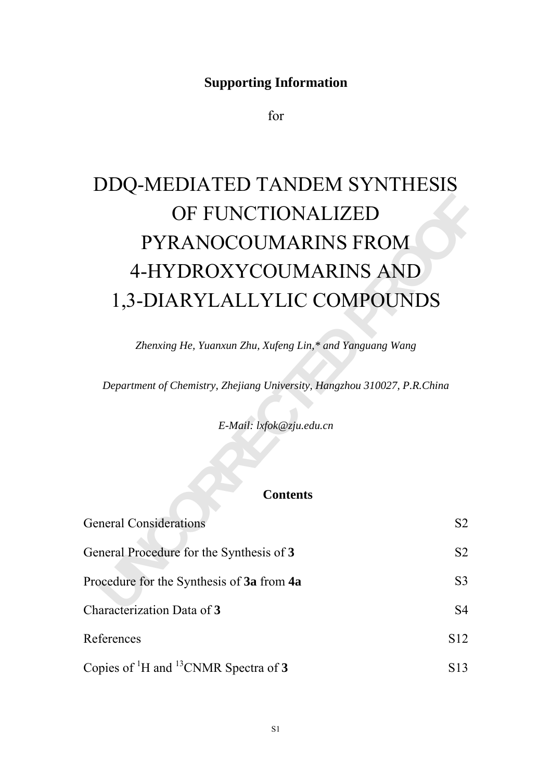# **Supporting Information**

for

# **UNCORRECTED PYRANOCOUMARINS FROM**<br>
4-HYDROXYCOUMARINS AND<br>
1,3-DIARYLALLYLIC COMPOUNDS<br> *Zhenxing He, Yuanxun Zhu, Xufeng Lin,\* and Yanguang Wang*<br> *Department of Chemistry, Zhejiang University, Hangzhou 310027, P.R.China* DDQ-MEDIATED TANDEM SYNTHESIS OF FUNCTIONALIZED PYRANOCOUMARINS FROM 4-HYDROXYCOUMARINS AND 1,3-DIARYLALLYLIC COMPOUNDS

*Zhenxing He, Yuanxun Zhu, Xufeng Lin,\* and Yanguang Wang* 

*Department of Chemistry, Zhejiang University, Hangzhou 310027, P.R.China* 

*E-Mail: lxfok@zju.edu.cn* 

## **Contents**

| <b>General Considerations</b>                      | S <sub>2</sub>  |
|----------------------------------------------------|-----------------|
| General Procedure for the Synthesis of 3           | S <sub>2</sub>  |
| Procedure for the Synthesis of 3a from 4a          | S3              |
| Characterization Data of 3                         | S <sub>4</sub>  |
| References                                         | S <sub>12</sub> |
| Copies of ${}^{1}H$ and ${}^{13}CNMR$ Spectra of 3 | S13.            |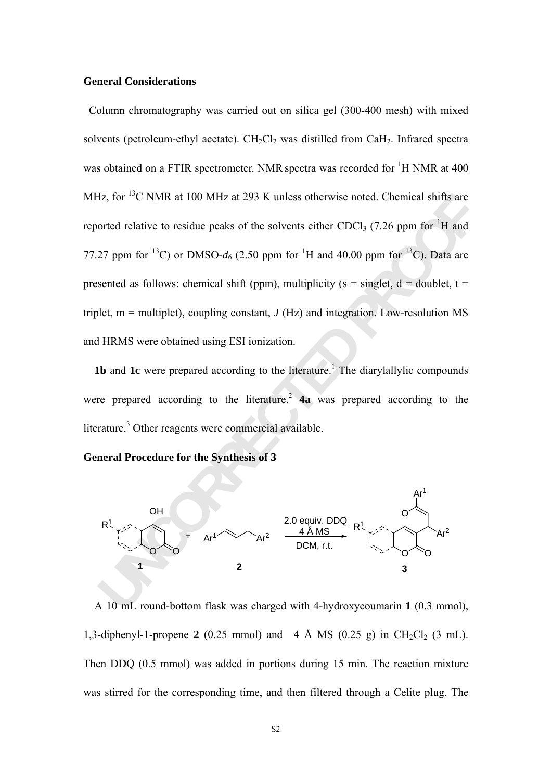#### **General Considerations**

**Iz, for** <sup>1</sup>C NMR at 100 MHz at 293 K unless otherwise noted. Chemical shifts are<br>orted relative to residue peaks of the solvents either CDCl<sub>3</sub> (7.26 ppm for <sup>13</sup>C). Data are<br>orted relative to residue peaks of the solve Column chromatography was carried out on silica gel (300-400 mesh) with mixed solvents (petroleum-ethyl acetate).  $CH_2Cl_2$  was distilled from CaH<sub>2</sub>. Infrared spectra was obtained on a FTIR spectrometer. NMR spectra was recorded for  ${}^{1}H$  NMR at 400 MHz, for <sup>13</sup>C NMR at 100 MHz at 293 K unless otherwise noted. Chemical shifts are reported relative to residue peaks of the solvents either CDCl<sub>3</sub> (7.26 ppm for <sup>1</sup>H and 77.27 ppm for <sup>13</sup>C) or DMSO- $d_6$  (2.50 ppm for <sup>1</sup>H and 40.00 ppm for <sup>13</sup>C). Data are presented as follows: chemical shift (ppm), multiplicity ( $s = singlet$ ,  $d = doublet$ ,  $t =$ triplet,  $m =$  multiplet), coupling constant,  $J(Hz)$  and integration. Low-resolution MS and HRMS were obtained using ESI ionization.

**1b** and **1c** were prepared according to the literature.<sup>1</sup> The diarylallylic compounds were prepared according to the literature.<sup>2</sup>  $\overline{4}a$  was prepared according to the literature.<sup>3</sup> Other reagents were commercial available.

**General Procedure for the Synthesis of 3** 



A 10 mL round-bottom flask was charged with 4-hydroxycoumarin **1** (0.3 mmol), 1,3-diphenyl-1-propene 2 (0.25 mmol) and 4 Å MS (0.25 g) in  $CH_2Cl_2$  (3 mL). Then DDQ (0.5 mmol) was added in portions during 15 min. The reaction mixture was stirred for the corresponding time, and then filtered through a Celite plug. The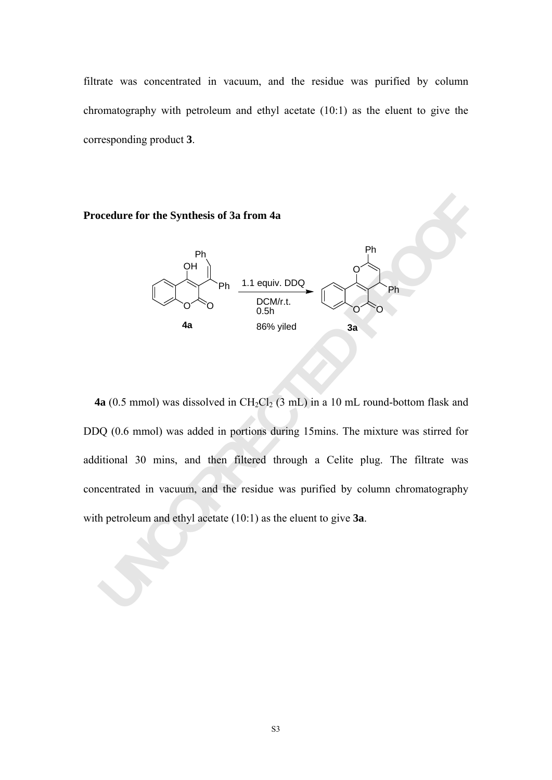filtrate was concentrated in vacuum, and the residue was purified by column chromatography with petroleum and ethyl acetate (10:1) as the eluent to give the corresponding product **3**.





**UNCORRECTED PROPERTIES OF 3 a from 4a**<br> **UNCORRECTED**<br> **UNCORRECTED**<br> **UNCORRECTED**<br> **UNCORRECTED**<br> **UNCORRECTED**<br> **UNCORRECTED**<br> **UNCORRECTED**<br> **UNCORRECTED**<br> **UNCORRECTED**<br> **UNCORRECTED**<br> **UNCORRECTED**<br> **UNCORRECTED**<br> **4a** (0.5 mmol) was dissolved in  $CH_2Cl_2$  (3 mL) in a 10 mL round-bottom flask and DDQ (0.6 mmol) was added in portions during 15mins. The mixture was stirred for additional 30 mins, and then filtered through a Celite plug. The filtrate was concentrated in vacuum, and the residue was purified by column chromatography with petroleum and ethyl acetate (10:1) as the eluent to give **3a**.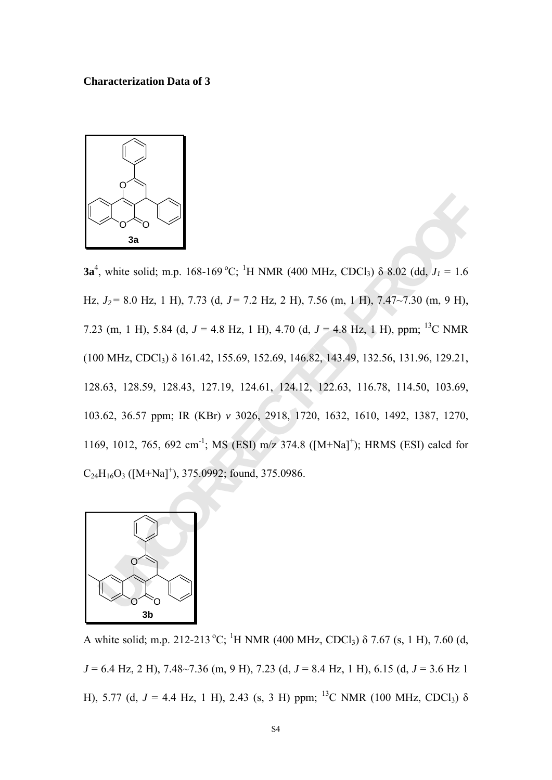#### **Characterization Data of 3**



**B**<br> **Example 18**<br> **Example 168-169 °C**; <sup>1</sup>H NMR (400 MHz, CDCl<sub>3</sub>)  $\delta$  8.02 (dd, *J<sub>1</sub>* = 1.6<br> *J<sub>2</sub>* = 8.0 Hz, 1 H), 7.73 (d, *J* = 7.2 Hz, 2 H), 7.56 (m, 1 H), 7.47-7.30 (m, 9 H),<br>
3 (m, 1 H), 5.84 (d, *J* = 4.8 Hz, 1 **3a**<sup>4</sup>, white solid; m.p. 168-169 °C; <sup>1</sup>H NMR (400 MHz, CDCl<sub>3</sub>) δ 8.02 (dd,  $J_1 = 1.6$ Hz, *J2* = 8.0 Hz, 1 H), 7.73 (d, *J* = 7.2 Hz, 2 H), 7.56 (m, 1 H), 7.47~7.30 (m, 9 H), 7.23 (m, 1 H), 5.84 (d,  $J = 4.8$  Hz, 1 H), 4.70 (d,  $J = 4.8$  Hz, 1 H), ppm; <sup>13</sup>C NMR (100 MHz, CDCl3) δ 161.42, 155.69, 152.69, 146.82, 143.49, 132.56, 131.96, 129.21, 128.63, 128.59, 128.43, 127.19, 124.61, 124.12, 122.63, 116.78, 114.50, 103.69, 103.62, 36.57 ppm; IR (KBr) *v* 3026, 2918, 1720, 1632, 1610, 1492, 1387, 1270, 1169, 1012, 765, 692 cm<sup>-1</sup>; MS (ESI) m/z 374.8 ([M+Na]<sup>+</sup>); HRMS (ESI) calcd for  $C_{24}H_{16}O_3$  ([M+Na]<sup>+</sup>), 375.0992; found, 375.0986.



A white solid; m.p. 212-213 °C; <sup>1</sup>H NMR (400 MHz, CDCl<sub>3</sub>)  $\delta$  7.67 (s, 1 H), 7.60 (d, *J* = 6.4 Hz, 2 H), 7.48~7.36 (m, 9 H), 7.23 (d, *J* = 8.4 Hz, 1 H), 6.15 (d, *J* = 3.6 Hz 1 H), 5.77 (d,  $J = 4.4$  Hz, 1 H), 2.43 (s, 3 H) ppm; <sup>13</sup>C NMR (100 MHz, CDCl<sub>3</sub>)  $\delta$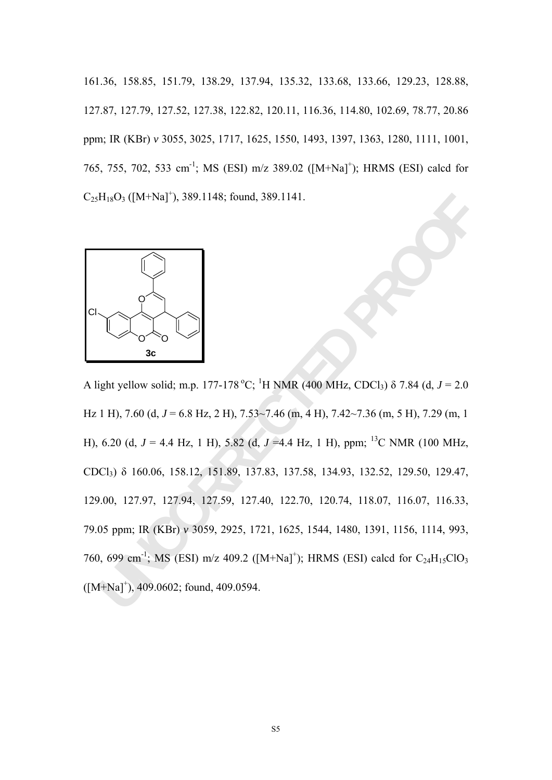161.36, 158.85, 151.79, 138.29, 137.94, 135.32, 133.68, 133.66, 129.23, 128.88, 127.87, 127.79, 127.52, 127.38, 122.82, 120.11, 116.36, 114.80, 102.69, 78.77, 20.86 ppm; IR (KBr) *v* 3055, 3025, 1717, 1625, 1550, 1493, 1397, 1363, 1280, 1111, 1001, 765, 755, 702, 533 cm<sup>-1</sup>; MS (ESI) m/z 389.02 ([M+Na]<sup>+</sup>); HRMS (ESI) calcd for  $C_{25}H_{18}O_3$  ([M+Na]<sup>+</sup>), 389.1148; found, 389.1141.



H<sub>18</sub>O<sub>3</sub> ([M+Na]<sup>+</sup>), 389.1148; found, 389.1141.<br> **Example 12.42**<br> **Example 12.63** H<sub>2</sub> D<sub>1</sub> 177-178 °C; <sup>1</sup>H NMR (400 MHz, CDCl<sub>3</sub>)  $\delta$  7.84 (d,  $J = 2.0$ <br>
1H), 7.60 (d,  $J = 6.8$  Hz, 2 H), 7.53--7.46 (m, 4 H), 7.42-7.36 A light yellow solid; m.p. 177-178 °C; <sup>1</sup>H NMR (400 MHz, CDCl<sub>3</sub>)  $\delta$  7.84 (d, *J* = 2.0 Hz 1 H), 7.60 (d, J = 6.8 Hz, 2 H), 7.53~7.46 (m, 4 H), 7.42~7.36 (m, 5 H), 7.29 (m, 1 H), 6.20 (d,  $J = 4.4$  Hz, 1 H), 5.82 (d,  $J = 4.4$  Hz, 1 H), ppm; <sup>13</sup>C NMR (100 MHz, CDCl3) δ 160.06, 158.12, 151.89, 137.83, 137.58, 134.93, 132.52, 129.50, 129.47, 129.00, 127.97, 127.94, 127.59, 127.40, 122.70, 120.74, 118.07, 116.07, 116.33, 79.05 ppm; IR (KBr) *v* 3059, 2925, 1721, 1625, 1544, 1480, 1391, 1156, 1114, 993, 760, 699 cm<sup>-1</sup>; MS (ESI) m/z 409.2 ( $[M+Na]^+$ ); HRMS (ESI) calcd for C<sub>24</sub>H<sub>15</sub>ClO<sub>3</sub>  $([M+Na]^+), 409.0602$ ; found, 409.0594.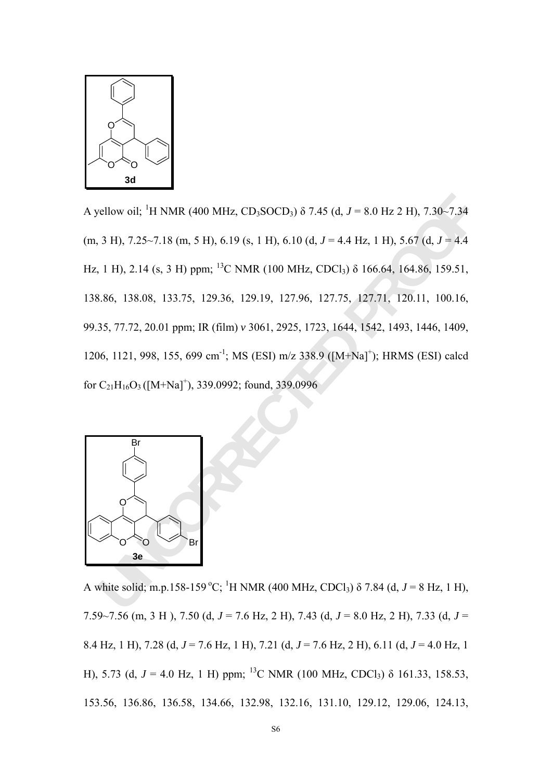

Ellow oil; <sup>1</sup>H NMR (400 MHz, CD<sub>1</sub>SOCD<sub>3</sub>)  $\delta$  7.45 (d, *J* = 8.0 Hz 2 H), 7.30-7.34<br>
3 H), 7.25-7.18 (m, 5 H), 6.19 (s, 1 H), 6.10 (d, *J* = 4.4 Hz, 1 H), 5.67 (d, *J* = 4.4<br>
1 H), 2.14 (s, 3 H) ppm; <sup>12</sup>C NMR (100 MHz A yellow oil; <sup>1</sup>H NMR (400 MHz, CD<sub>3</sub>SOCD<sub>3</sub>) δ 7.45 (d, *J* = 8.0 Hz 2 H), 7.30~7.34  $(m, 3 H)$ , 7.25~7.18  $(m, 5 H)$ , 6.19  $(s, 1 H)$ , 6.10  $(d, J = 4.4 Hz, 1 H)$ , 5.67  $(d, J = 4.4 Hz, 1 H)$ Hz, 1 H), 2.14 (s, 3 H) ppm; <sup>13</sup>C NMR (100 MHz, CDCl<sub>3</sub>)  $\delta$  166.64, 164.86, 159.51, 138.86, 138.08, 133.75, 129.36, 129.19, 127.96, 127.75, 127.71, 120.11, 100.16, 99.35, 77.72, 20.01 ppm; IR (film) *v* 3061, 2925, 1723, 1644, 1542, 1493, 1446, 1409, 1206, 1121, 998, 155, 699 cm<sup>-1</sup>; MS (ESI) m/z 338.9 ([M+Na]<sup>+</sup>); HRMS (ESI) calcd for  $C_{21}H_{16}O_3$  ([M+Na]<sup>+</sup>), 339.0992; found, 339.0996



A white solid; m.p.158-159 °C; <sup>1</sup>H NMR (400 MHz, CDCl<sub>3</sub>)  $\delta$  7.84 (d, J = 8 Hz, 1 H), 7.59~7.56 (m, 3 H ), 7.50 (d, *J* = 7.6 Hz, 2 H), 7.43 (d, *J* = 8.0 Hz, 2 H), 7.33 (d, *J* = 8.4 Hz, 1 H), 7.28 (d, *J* = 7.6 Hz, 1 H), 7.21 (d, *J* = 7.6 Hz, 2 H), 6.11 (d, *J* = 4.0 Hz, 1 H), 5.73 (d,  $J = 4.0$  Hz, 1 H) ppm; <sup>13</sup>C NMR (100 MHz, CDCl<sub>3</sub>)  $\delta$  161.33, 158.53, 153.56, 136.86, 136.58, 134.66, 132.98, 132.16, 131.10, 129.12, 129.06, 124.13,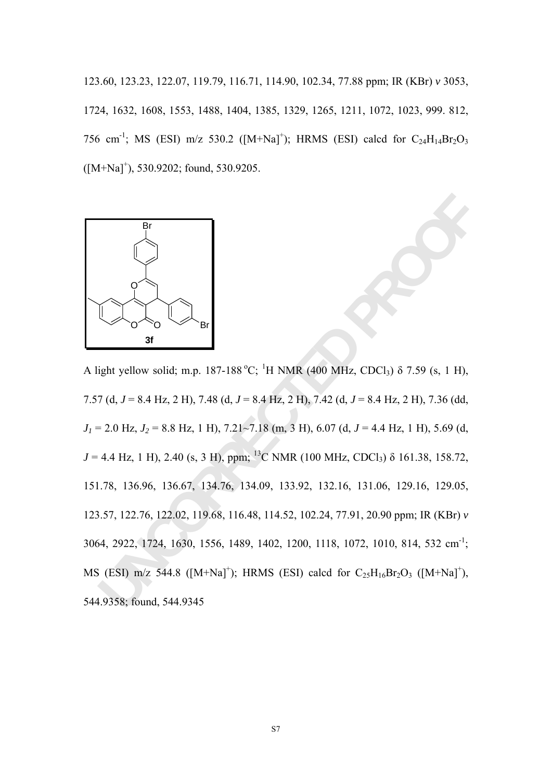123.60, 123.23, 122.07, 119.79, 116.71, 114.90, 102.34, 77.88 ppm; IR (KBr) *v* 3053, 1724, 1632, 1608, 1553, 1488, 1404, 1385, 1329, 1265, 1211, 1072, 1023, 999. 812, 756 cm<sup>-1</sup>; MS (ESI) m/z 530.2 ( $[M+Na]^+$ ); HRMS (ESI) calcd for C<sub>24</sub>H<sub>14</sub>Br<sub>2</sub>O<sub>3</sub>  $([M+Na]^{\dagger})$ , 530.9202; found, 530.9205.



Br<br> **Unity yellow solid;** m.p. 187-188°C; <sup>1</sup>H NMR (400 MHz, CDCl<sub>3</sub>)  $\delta$  7.59 (s, 1 H),<br>
7(d, *J* = 8.4 Hz, 2 H), 7.48 (d, *J* = 8.4 Hz, 2 H), 7.42 (d, *J* = 8.4 Hz, 2 H), 7.36 (dd,<br>
2.0 Hz, *J*<sub>2</sub> = 8.8 Hz, 1 H), 7.21-7 A light yellow solid; m.p. 187-188 °C; <sup>1</sup>H NMR (400 MHz, CDCl<sub>3</sub>)  $\delta$  7.59 (s, 1 H), 7.57 (d, *J* = 8.4 Hz, 2 H), 7.48 (d, *J* = 8.4 Hz, 2 H), 7.42 (d, *J* = 8.4 Hz, 2 H), 7.36 (dd, *J1* = 2.0 Hz, *J2* = 8.8 Hz, 1 H), 7.21~7.18 (m, 3 H), 6.07 (d, *J* = 4.4 Hz, 1 H), 5.69 (d,  $J = 4.4$  Hz, 1 H), 2.40 (s, 3 H), ppm; <sup>13</sup>C NMR (100 MHz, CDCl<sub>3</sub>)  $\delta$  161.38, 158.72, 151.78, 136.96, 136.67, 134.76, 134.09, 133.92, 132.16, 131.06, 129.16, 129.05, 123.57, 122.76, 122.02, 119.68, 116.48, 114.52, 102.24, 77.91, 20.90 ppm; IR (KBr) *v* 3064, 2922, 1724, 1630, 1556, 1489, 1402, 1200, 1118, 1072, 1010, 814, 532 cm-1; MS (ESI) m/z 544.8 ( $[M+Na]^+$ ); HRMS (ESI) calcd for  $C_{25}H_{16}Br_2O_3$  ( $[M+Na]^+$ ), 544.9358; found, 544.9345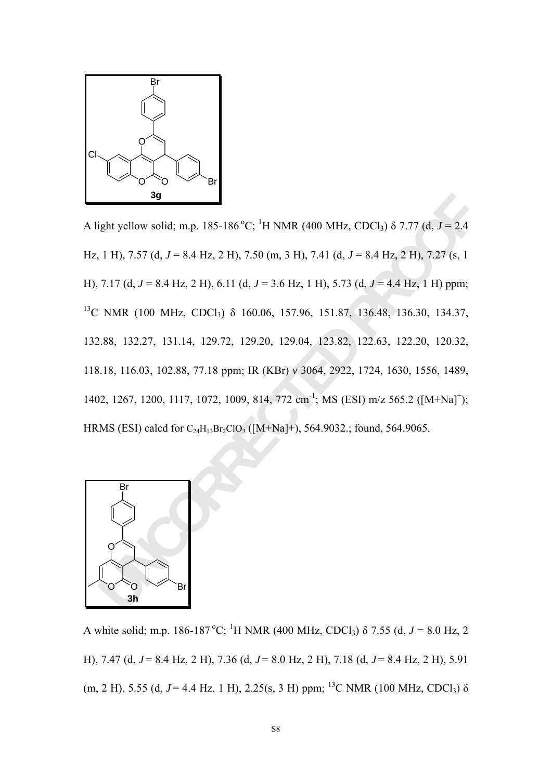

3g<br>
ight yellow solid; m.p. 185-186 °C; <sup>1</sup>H NMR (400 MHz, CDCl<sub>3</sub>)  $\delta$  7.77 (d,  $J = 2.4$ <br>
1 H), 7.57 (d,  $J = 8.4$  Hz, 2 H), 7.50 (m, 3 H), 7.41 (d,  $J = 8.4$  Hz, 2 H), 7.27 (s, 1<br>
7.17 (d,  $J = 8.4$  Hz, 2 H), 6.11 (d,  $J =$ A light yellow solid; m.p. 185-186<sup>°</sup>C; <sup>1</sup>H NMR (400 MHz, CDCl<sub>3</sub>)  $\delta$  7.77 (d, *J* = 2.4 Hz, 1 H), 7.57 (d, *J* = 8.4 Hz, 2 H), 7.50 (m, 3 H), 7.41 (d, *J* = 8.4 Hz, 2 H), 7.27 (s, 1 H), 7.17 (d, *J* = 8.4 Hz, 2 H), 6.11 (d, *J* = 3.6 Hz, 1 H), 5.73 (d, *J* = 4.4 Hz, 1 H) ppm; <sup>13</sup>C NMR (100 MHz, CDCl<sub>3</sub>) δ 160.06, 157.96, 151.87, 136.48, 136.30, 134.37, 132.88, 132.27, 131.14, 129.72, 129.20, 129.04, 123.82, 122.63, 122.20, 120.32, 118.18, 116.03, 102.88, 77.18 ppm; IR (KBr) *v* 3064, 2922, 1724, 1630, 1556, 1489, 1402, 1267, 1200, 1117, 1072, 1009, 814, 772 cm<sup>-1</sup>; MS (ESI) m/z 565.2 ([M+Na]<sup>+</sup>); HRMS (ESI) calcd for  $C_{24}H_{13}Br_2ClO_3$  ([M+Na]+), 564.9032.; found, 564.9065.



A white solid; m.p. 186-187 °C; <sup>1</sup>H NMR (400 MHz, CDCl<sub>3</sub>)  $\delta$  7.55 (d, *J* = 8.0 Hz, 2 H), 7.47 (d, *J* = 8.4 Hz, 2 H), 7.36 (d, *J* = 8.0 Hz, 2 H), 7.18 (d, *J* = 8.4 Hz, 2 H), 5.91 (m, 2 H), 5.55 (d,  $J = 4.4$  Hz, 1 H), 2.25(s, 3 H) ppm; <sup>13</sup>C NMR (100 MHz, CDCl<sub>3</sub>)  $\delta$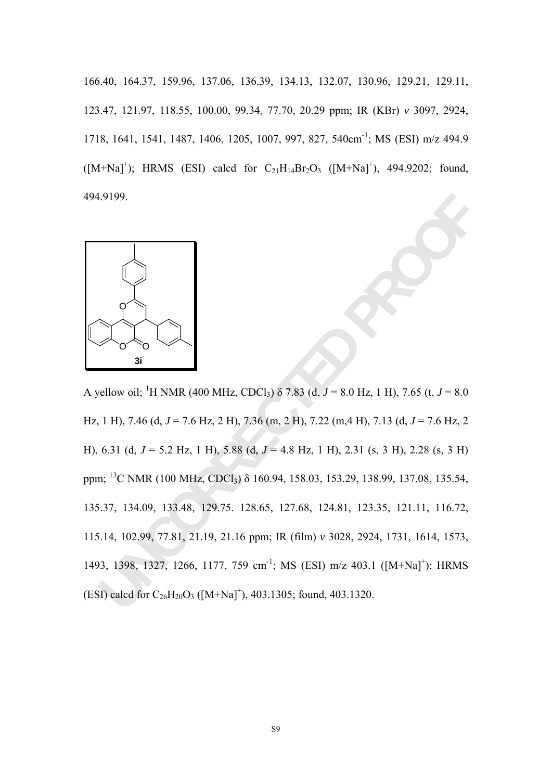166.40, 164.37, 159.96, 137.06, 136.39, 134.13, 132.07, 130.96, 129.21, 129.11, 123.47, 121.97, 118.55, 100.00, 99.34, 77.70, 20.29 ppm; IR (KBr) *v* 3097, 2924, 1718, 1641, 1541, 1487, 1406, 1205, 1007, 997, 827, 540cm-1; MS (ESI) m/z 494.9  $([M+Na]^+);$  HRMS (ESI) calcd for  $C_{21}H_{14}Br_2O_3$   $([M+Na]^+),$  494.9202; found, 494.9199.



19199.<br> **B**<br> **Example 1918**<br> **Example 1918**<br> **Example 1918**<br> **Example 1918**<br> **Example 1918**<br> **Example 1918**<br> **Example 1918**<br> **Example 1918**<br> **Example 1928**<br> **Example 1928**<br> **Example 1928**<br> **Example 1928**<br> **Example 1928**<br> A yellow oil; <sup>1</sup>H NMR (400 MHz, CDCl<sub>3</sub>)  $\delta$  7.83 (d, *J* = 8.0 Hz, 1 H), 7.65 (t, *J* = 8.0 Hz, 1 H), 7.46 (d, *J* = 7.6 Hz, 2 H), 7.36 (m, 2 H), 7.22 (m,4 H), 7.13 (d, *J* = 7.6 Hz, 2 H), 6.31 (d, *J* = 5.2 Hz, 1 H), 5.88 (d, *J* = 4.8 Hz, 1 H), 2.31 (s, 3 H), 2.28 (s, 3 H) ppm; 13C NMR (100 MHz, CDCl3) δ 160.94, 158.03, 153.29, 138.99, 137.08, 135.54, 135.37, 134.09, 133.48, 129.75. 128.65, 127.68, 124.81, 123.35, 121.11, 116.72, 115.14, 102.99, 77.81, 21.19, 21.16 ppm; IR (film) *v* 3028, 2924, 1731, 1614, 1573, 1493, 1398, 1327, 1266, 1177, 759 cm<sup>-1</sup>; MS (ESI) m/z 403.1 ([M+Na]<sup>+</sup>); HRMS (ESI) calcd for  $C_{26}H_{20}O_3$  ([M+Na]<sup>+</sup>), 403.1305; found, 403.1320.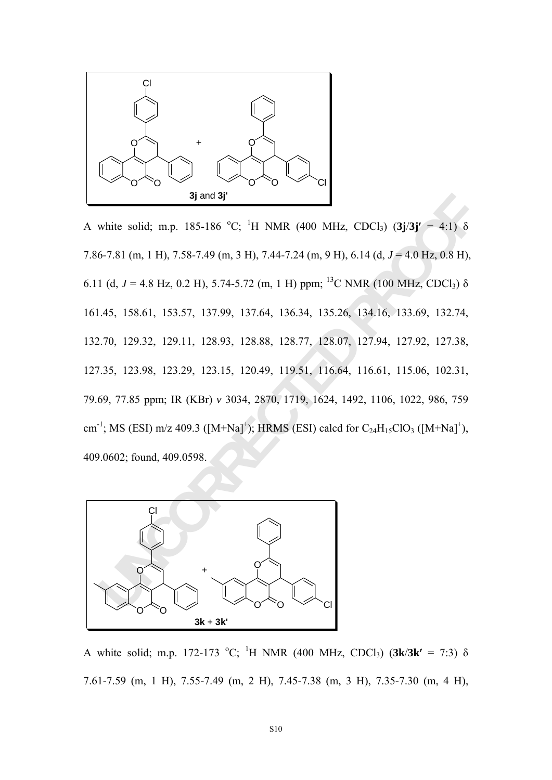

**3jand 3j**<br>
white solid; m.p. 185-186 °C; <sup>1</sup>H NMR (400 MHz, CDCl<sub>3</sub>) (3**j**/3**j**' = 4:1) δ<br>
6-7.81 (m, 1 H), 7.58-7.49 (m, 3 H), 7.44-7.24 (m, 9 H), 6.14 (d,  $J = 4.0$  Hz, 0.8 H),<br>
1 (d,  $J = 4.8$  Hz, 0.2 H), 5.74-5.72 (m, 1 A white solid; m.p. 185-186 °C; <sup>1</sup>H NMR (400 MHz, CDCl<sub>3</sub>) (3j/3j' = 4:1)  $\delta$ 7.86-7.81 (m, 1 H), 7.58-7.49 (m, 3 H), 7.44-7.24 (m, 9 H), 6.14 (d, *J* = 4.0 Hz, 0.8 H), 6.11 (d,  $J = 4.8$  Hz, 0.2 H), 5.74-5.72 (m, 1 H) ppm; <sup>13</sup>C NMR (100 MHz, CDCl<sub>3</sub>)  $\delta$ 161.45, 158.61, 153.57, 137.99, 137.64, 136.34, 135.26, 134.16, 133.69, 132.74, 132.70, 129.32, 129.11, 128.93, 128.88, 128.77, 128.07, 127.94, 127.92, 127.38, 127.35, 123.98, 123.29, 123.15, 120.49, 119.51, 116.64, 116.61, 115.06, 102.31, 79.69, 77.85 ppm; IR (KBr) *v* 3034, 2870, 1719, 1624, 1492, 1106, 1022, 986, 759 cm<sup>-1</sup>; MS (ESI) m/z 409.3 ( $[M+Na]^+$ ); HRMS (ESI) calcd for C<sub>24</sub>H<sub>15</sub>ClO<sub>3</sub> ( $[M+Na]^+$ ), 409.0602; found, 409.0598.



A white solid; m.p. 172-173 °C; <sup>1</sup>H NMR (400 MHz, CDCl<sub>3</sub>) (3k/3k' = 7:3) δ 7.61-7.59 (m, 1 H), 7.55-7.49 (m, 2 H), 7.45-7.38 (m, 3 H), 7.35-7.30 (m, 4 H),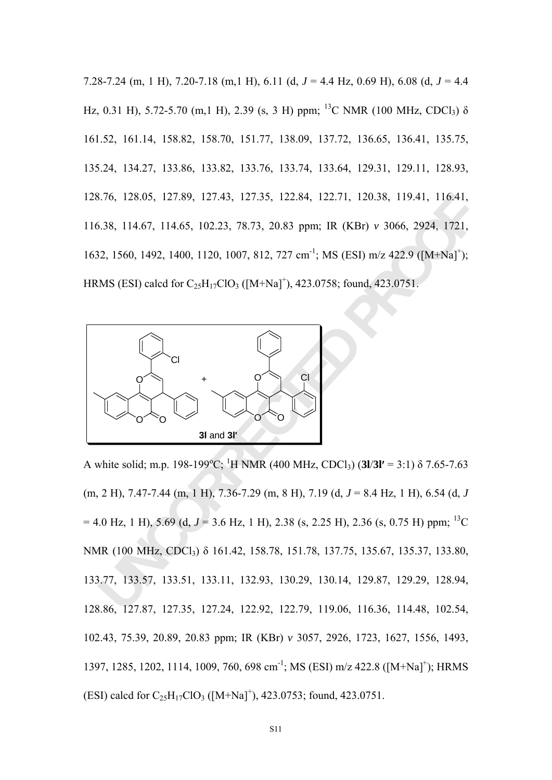7.28-7.24 (m, 1 H), 7.20-7.18 (m,1 H), 6.11 (d, *J* = 4.4 Hz, 0.69 H), 6.08 (d, *J* = 4.4 Hz, 0.31 H), 5.72-5.70 (m,1 H), 2.39 (s, 3 H) ppm; <sup>13</sup>C NMR (100 MHz, CDCl<sub>3</sub>)  $\delta$ 161.52, 161.14, 158.82, 158.70, 151.77, 138.09, 137.72, 136.65, 136.41, 135.75, 135.24, 134.27, 133.86, 133.82, 133.76, 133.74, 133.64, 129.31, 129.11, 128.93, 128.76, 128.05, 127.89, 127.43, 127.35, 122.84, 122.71, 120.38, 119.41, 116.41, 116.38, 114.67, 114.65, 102.23, 78.73, 20.83 ppm; IR (KBr) *v* 3066, 2924, 1721, 1632, 1560, 1492, 1400, 1120, 1007, 812, 727 cm<sup>-1</sup>; MS (ESI) m/z 422.9 ([M+Na]<sup>+</sup>); HRMS (ESI) calcd for  $C_{25}H_{17}ClO_3$  ([M+Na]<sup>+</sup>), 423.0758; found, 423.0751.



176, 128.05, 127.89, 127.43, 127.35, 122.84, 122.71, 120.38, 119.41, 116.41,<br>
1.38, 114.67, 114.65, 102.23, 78.73, 20.83 ppm; IR (KBr) v 3066, 2924, 1721,<br>
12, 1560, 1492, 1400, 1120, 1007, 812, 727 cm<sup>-1</sup>; MS (ESI) m/z 42 A white solid; m.p. 198-199<sup>o</sup>C; <sup>1</sup>H NMR (400 MHz, CDCl<sub>3</sub>) (3l/3l' = 3:1)  $\delta$  7.65-7.63 (m, 2 H), 7.47-7.44 (m, 1 H), 7.36-7.29 (m, 8 H), 7.19 (d, *J* = 8.4 Hz, 1 H), 6.54 (d, *J*   $= 4.0$  Hz, 1 H), 5.69 (d,  $J = 3.6$  Hz, 1 H), 2.38 (s, 2.25 H), 2.36 (s, 0.75 H) ppm; <sup>13</sup>C NMR (100 MHz, CDCl3) δ 161.42, 158.78, 151.78, 137.75, 135.67, 135.37, 133.80, 133.77, 133.57, 133.51, 133.11, 132.93, 130.29, 130.14, 129.87, 129.29, 128.94, 128.86, 127.87, 127.35, 127.24, 122.92, 122.79, 119.06, 116.36, 114.48, 102.54, 102.43, 75.39, 20.89, 20.83 ppm; IR (KBr) *v* 3057, 2926, 1723, 1627, 1556, 1493, 1397, 1285, 1202, 1114, 1009, 760, 698 cm<sup>-1</sup>; MS (ESI) m/z 422.8 ([M+Na]<sup>+</sup>); HRMS (ESI) calcd for  $C_{25}H_{17}ClO_3$  ([M+Na]<sup>+</sup>), 423.0753; found, 423.0751.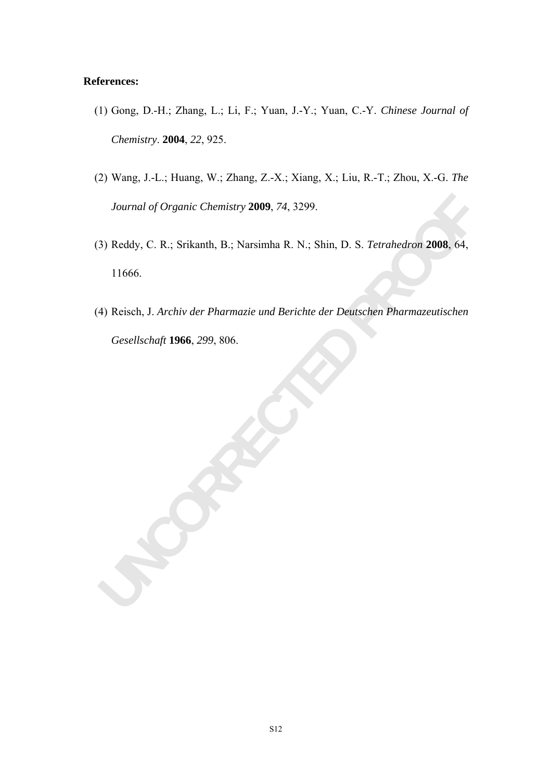### **References:**

- (1) Gong, D.-H.; Zhang, L.; Li, F.; Yuan, J.-Y.; Yuan, C.-Y. *Chinese Journal of Chemistry*. **2004**, *22*, 925.
- (2) Wang, J.-L.; Huang, W.; Zhang, Z.-X.; Xiang, X.; Liu, R.-T.; Zhou, X.-G. *The Journal of Organic Chemistry* **2009**, *74*, 3299.
- *Journal of Organic Chemistry* 2009, 74, 3299.<br>
3) Reddy, C. R.; Srikanth, B.; Narsimha R. N.; Shin, D. S. *Tetrahedron* 2008, 64,<br>
11666.<br>
4) Reisch, J. *Archiv der Pharmazie und Berichte der Deutschen Pharmazeutischen*<br> (3) Reddy, C. R.; Srikanth, B.; Narsimha R. N.; Shin, D. S. *Tetrahedron* **2008**, 64, 11666.
- (4) Reisch, J. *Archiv der Pharmazie und Berichte der Deutschen Pharmazeutischen Gesellschaft* **1966**, *299*, 806.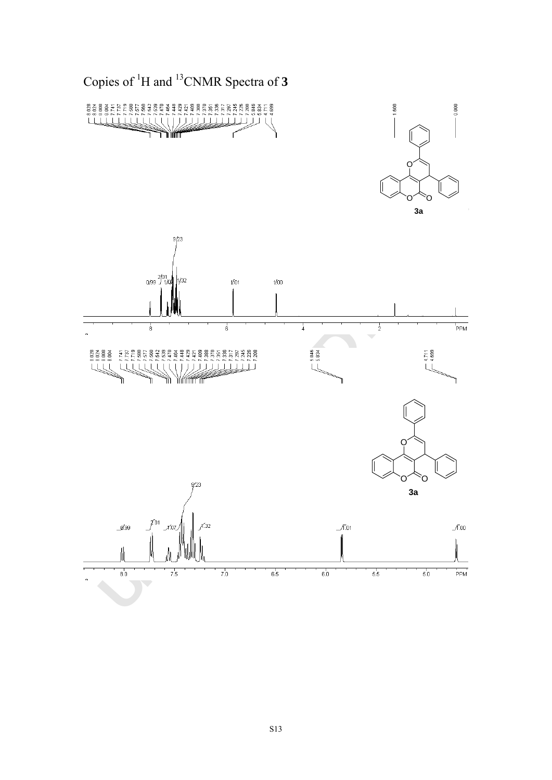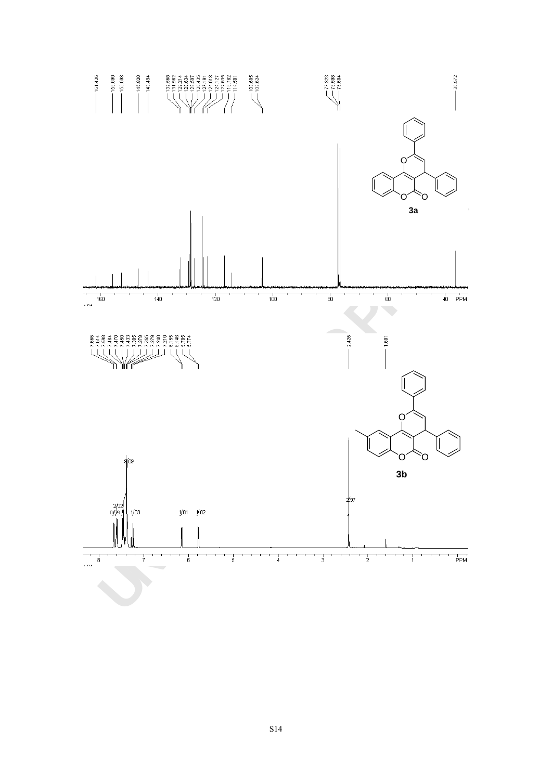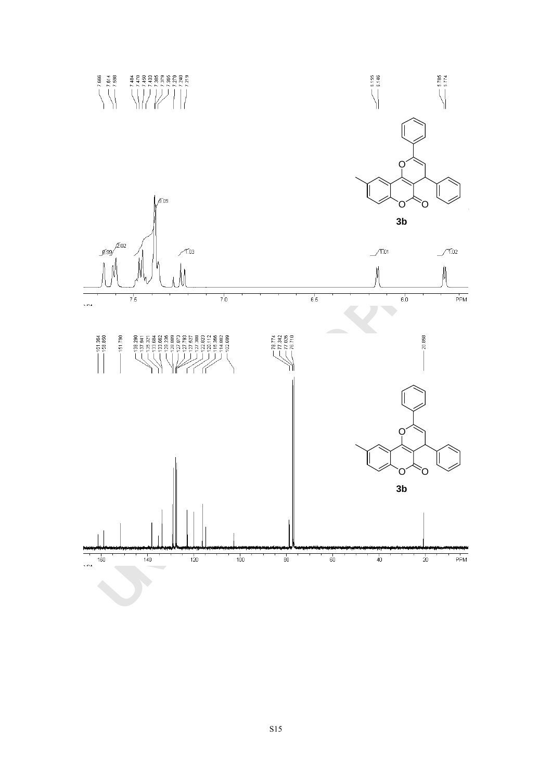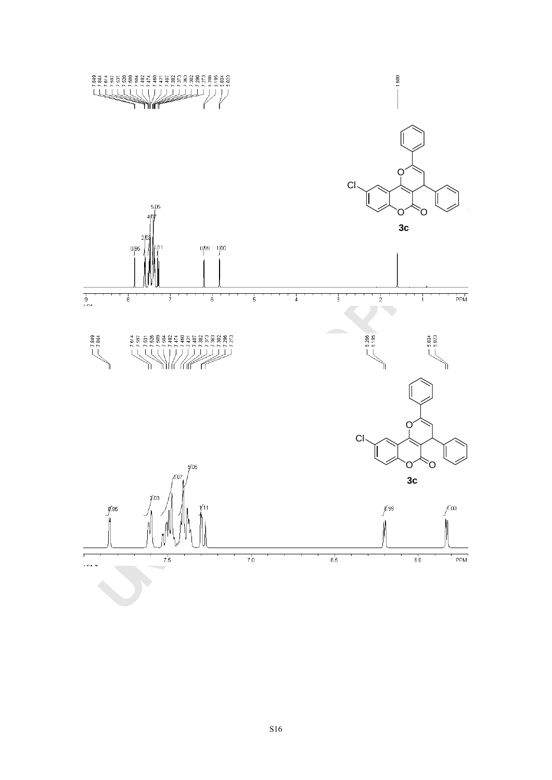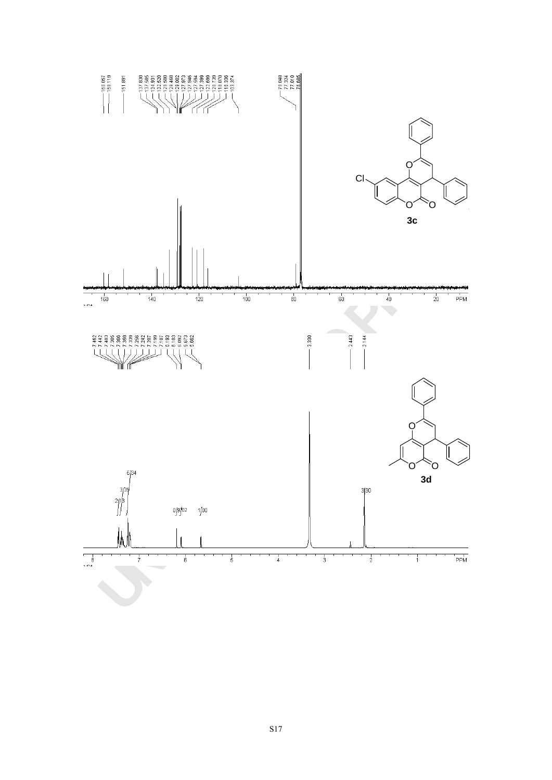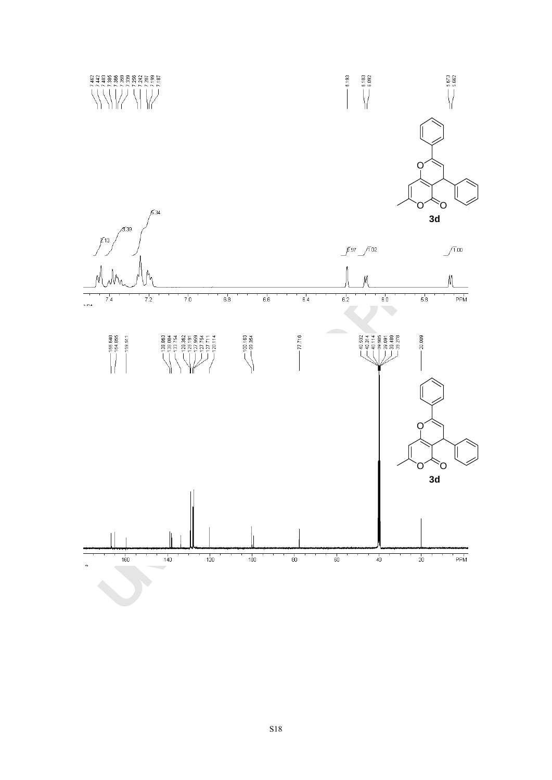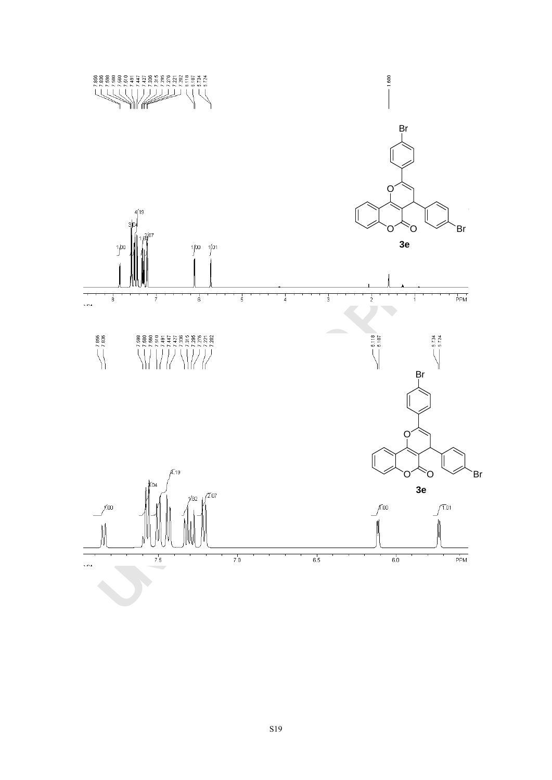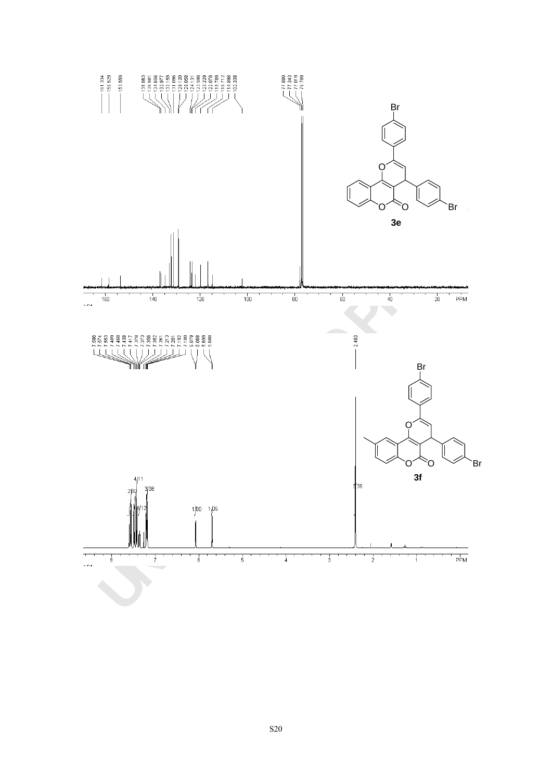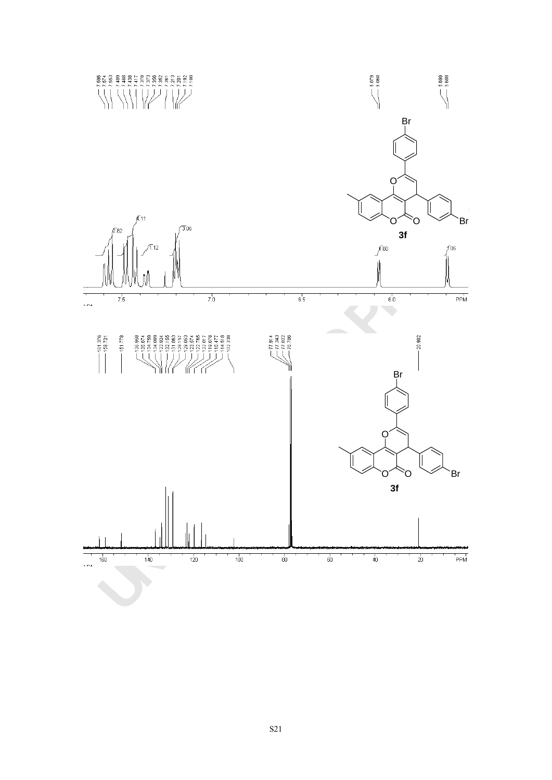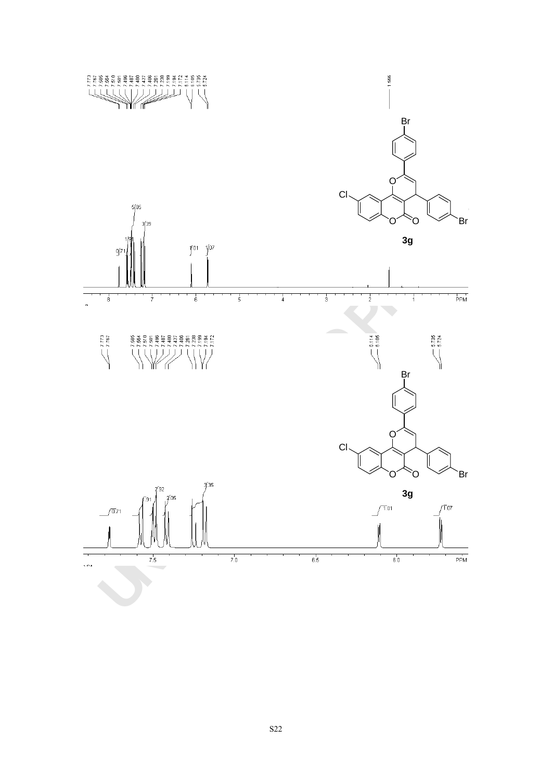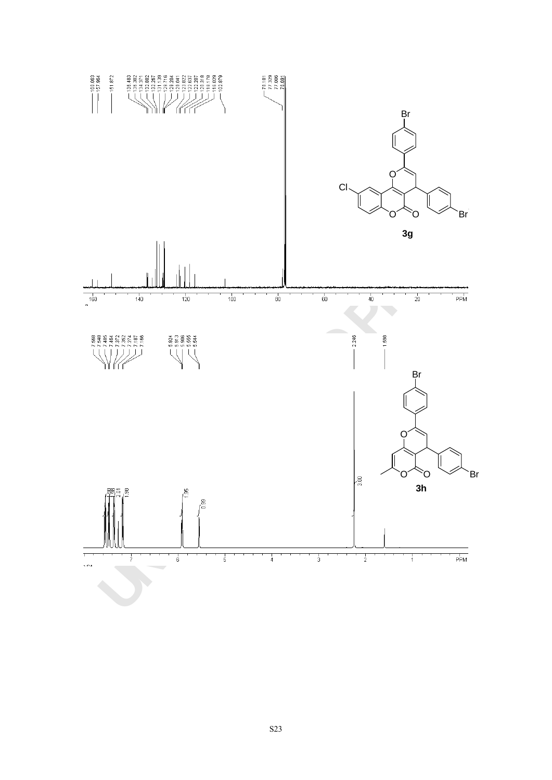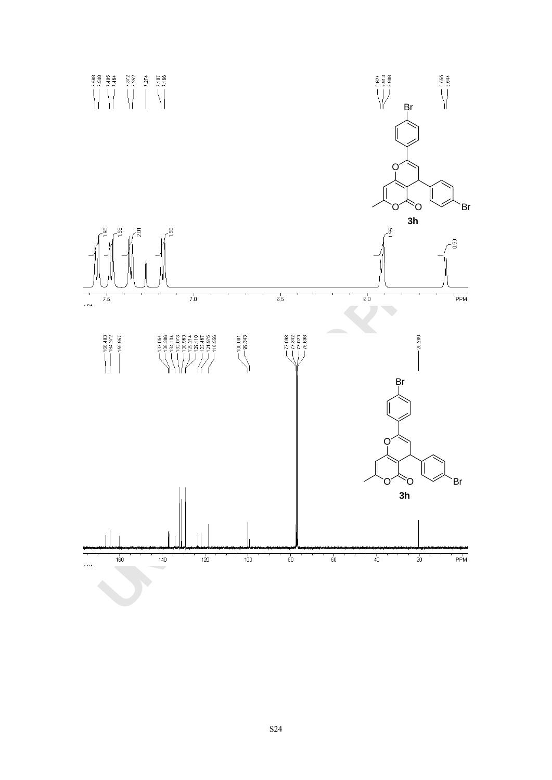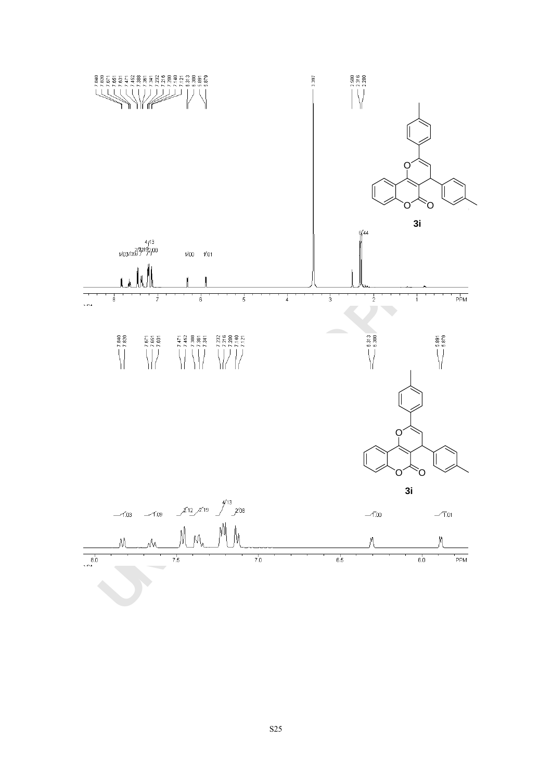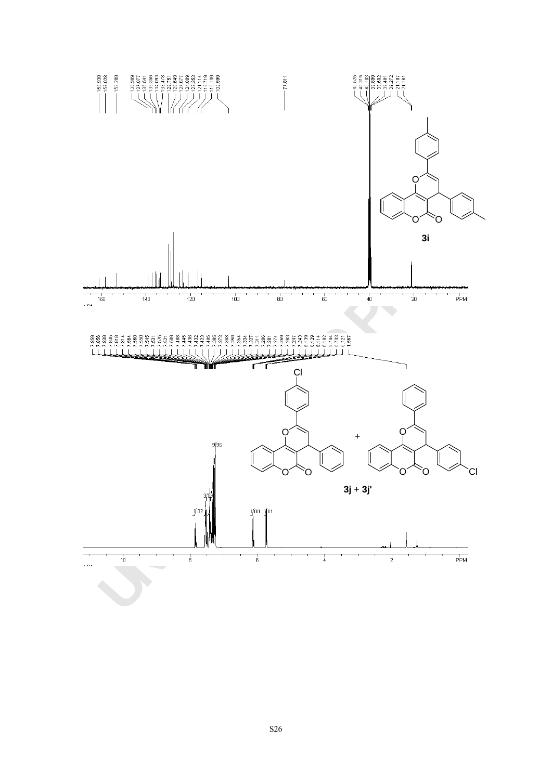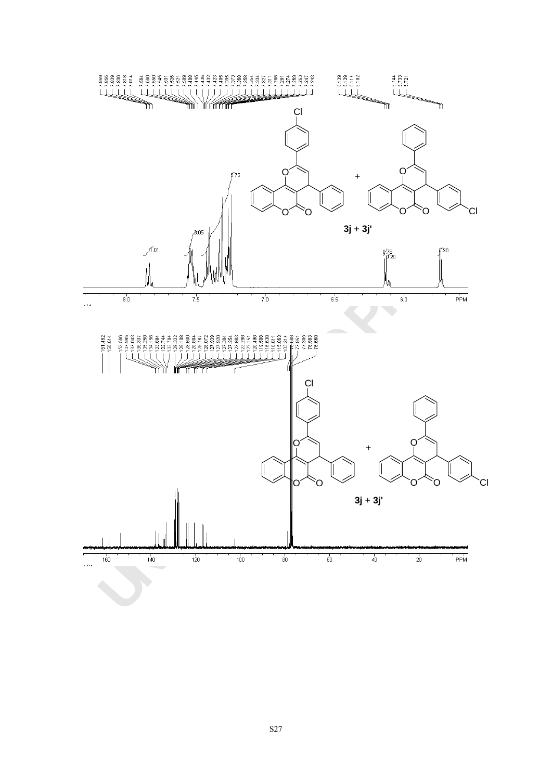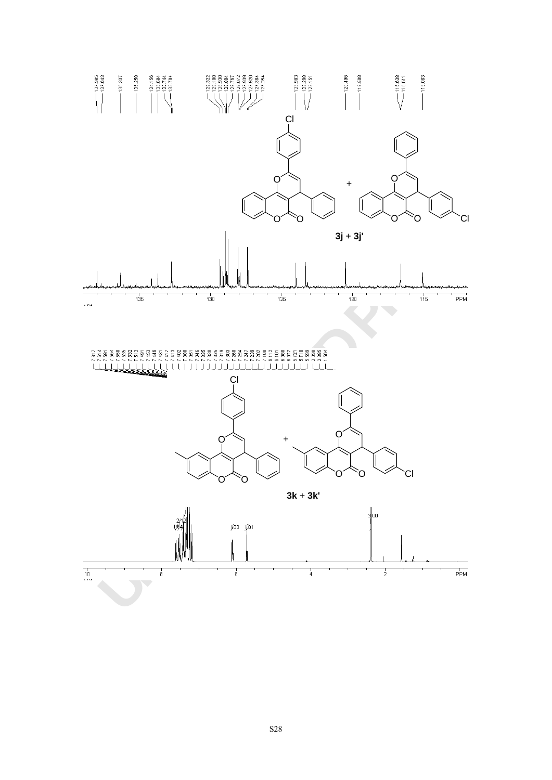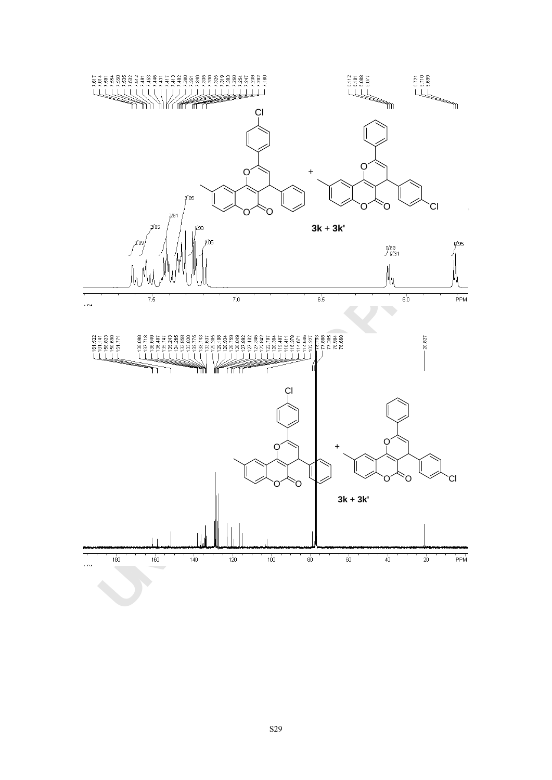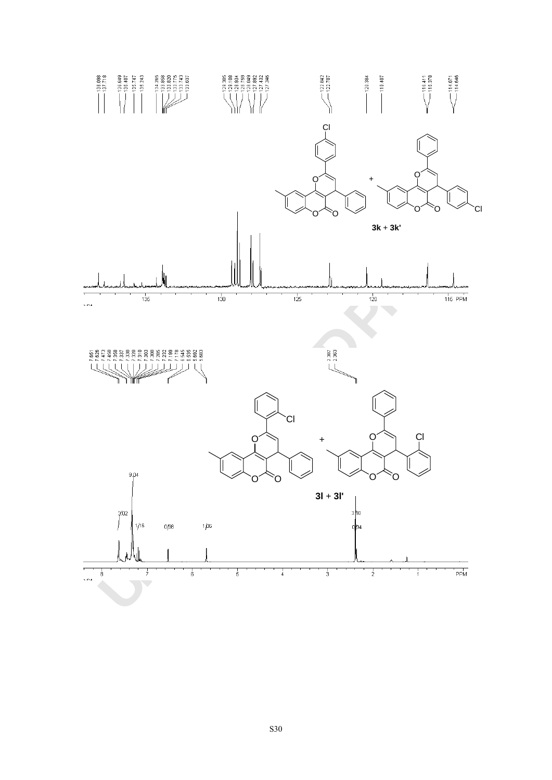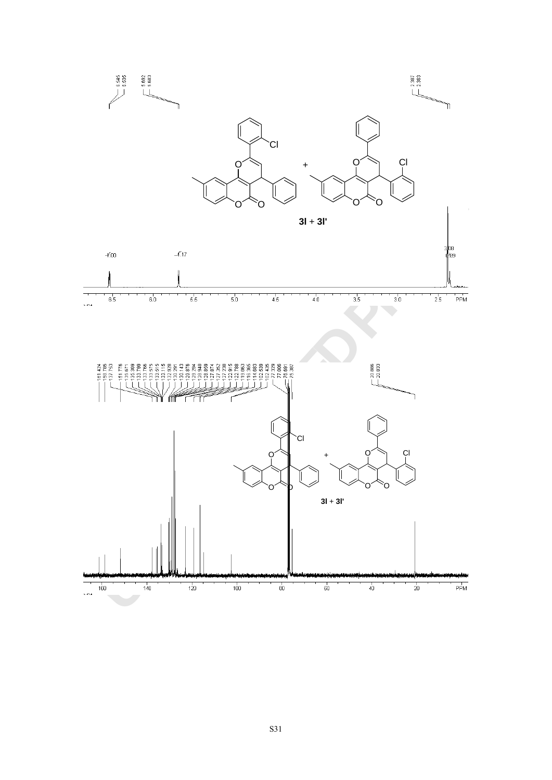